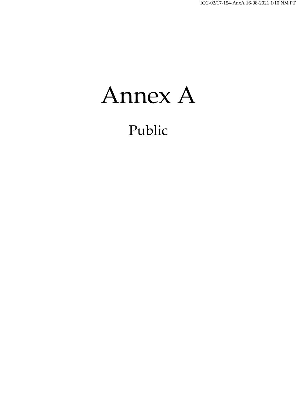Annex A

Public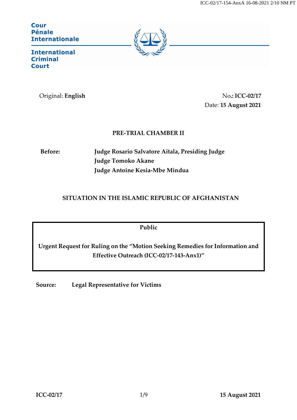**Cour** Pénale **Internationale** 



**International Criminal Court** 

Original: **English** No.: ICC-02/17 Date: **15 August 2021**

## **PRE-TRIAL CHAMBER II**

**Before: Judge Rosario Salvatore Aitala, Presiding Judge Judge Tomoko Akane Judge Antoine Kesia-Mbe Mindua**

## **SITUATION IN THE ISLAMIC REPUBLIC OF AFGHANISTAN**

**Public**

**Urgent Request for Ruling on the "Motion Seeking Remedies for Information and Effective Outreach (ICC-02/17-143-Anx1)"**

**Source: Legal Representative for Victims**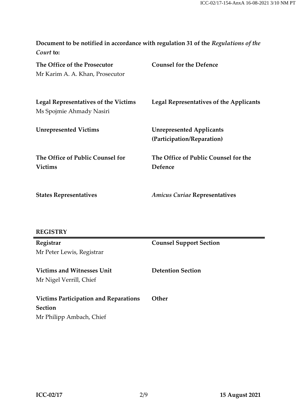| Document to be notified in accordance with regulation 31 of the Regulations of the |  |
|------------------------------------------------------------------------------------|--|
| Court to:                                                                          |  |

| The Office of the Prosecutor<br>Mr Karim A. A. Khan, Prosecutor  | <b>Counsel for the Defence</b>                                |
|------------------------------------------------------------------|---------------------------------------------------------------|
| Legal Representatives of the Victims<br>Ms Spojmie Ahmady Nasiri | Legal Representatives of the Applicants                       |
| <b>Unrepresented Victims</b>                                     | <b>Unrepresented Applicants</b><br>(Participation/Reparation) |
| The Office of Public Counsel for<br><b>Victims</b>               | The Office of Public Counsel for the<br>Defence               |

**States Representatives**

*Amicus Curiae* **Representatives**

# **REGISTRY**

| Registrar                                    | <b>Counsel Support Section</b> |
|----------------------------------------------|--------------------------------|
| Mr Peter Lewis, Registrar                    |                                |
|                                              |                                |
| <b>Victims and Witnesses Unit</b>            | <b>Detention Section</b>       |
| Mr Nigel Verrill, Chief                      |                                |
|                                              |                                |
| <b>Victims Participation and Reparations</b> | <b>Other</b>                   |
| <b>Section</b>                               |                                |
| Mr Philipp Ambach, Chief                     |                                |

÷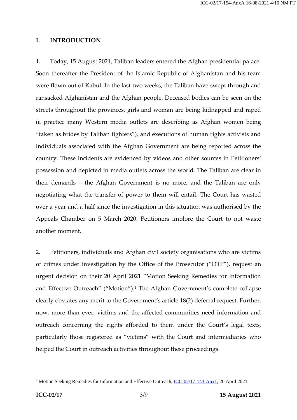### **I. INTRODUCTION**

1. Today, 15 August 2021, Taliban leaders entered the Afghan presidential palace. Soon thereafter the President of the Islamic Republic of Afghanistan and his team were flown out of Kabul. In the last two weeks, the Taliban have swept through and ransacked Afghanistan and the Afghan people. Deceased bodies can be seen on the streets throughout the provinces, girls and woman are being kidnapped and raped (a practice many Western media outlets are describing as Afghan women being "taken as brides by Taliban fighters"), and executions of human rights activists and individuals associated with the Afghan Government are being reported across the country. These incidents are evidenced by videos and other sources in Petitioners' possession and depicted in media outlets across the world. The Taliban are clear in their demands – the Afghan Government is no more, and the Taliban are only negotiating what the transfer of power to them will entail. The Court has wasted over a year and a half since the investigation in this situation was authorised by the Appeals Chamber on 5 March 2020. Petitioners implore the Court to not waste another moment.

2. Petitioners, individuals and Afghan civil society organisations who are victims of crimes under investigation by the Office of the Prosecutor ("OTP"), request an urgent decision on their 20 April 2021 "Motion Seeking Remedies for Information and Effective Outreach" ("Motion"). <sup>1</sup> The Afghan Government's complete collapse clearly obviates any merit to the Government's article 18(2) deferral request. Further, now, more than ever, victims and the affected communities need information and outreach concerning the rights afforded to them under the Court's legal texts, particularly those registered as "victims" with the Court and intermediaries who helped the Court in outreach activities throughout these proceedings.

<sup>&</sup>lt;sup>1</sup> Motion Seeking Remedies for Information and Effective Outreach, [ICC-02/17-143-Anx1,](https://www.icc-cpi.int/RelatedRecords/CR2021_03634.PDF) 20 April 2021.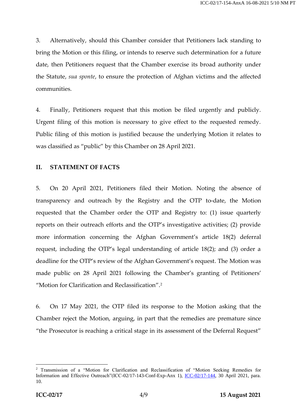3. Alternatively, should this Chamber consider that Petitioners lack standing to bring the Motion or this filing, or intends to reserve such determination for a future date, then Petitioners request that the Chamber exercise its broad authority under the Statute, *sua sponte*, to ensure the protection of Afghan victims and the affected communities.

4. Finally, Petitioners request that this motion be filed urgently and publicly. Urgent filing of this motion is necessary to give effect to the requested remedy. Public filing of this motion is justified because the underlying Motion it relates to was classified as "public" by this Chamber on 28 April 2021.

## **II. STATEMENT OF FACTS**

5. On 20 April 2021, Petitioners filed their Motion. Noting the absence of transparency and outreach by the Registry and the OTP to-date, the Motion requested that the Chamber order the OTP and Registry to: (1) issue quarterly reports on their outreach efforts and the OTP's investigative activities; (2) provide more information concerning the Afghan Government's article 18(2) deferral request, including the OTP's legal understanding of article 18(2); and (3) order a deadline for the OTP's review of the Afghan Government's request. The Motion was made public on 28 April 2021 following the Chamber's granting of Petitioners' "Motion for Clarification and Reclassification". 2

6. On 17 May 2021, the OTP filed its response to the Motion asking that the Chamber reject the Motion, arguing, in part that the remedies are premature since "the Prosecutor is reaching a critical stage in its assessment of the Deferral Request"

<sup>&</sup>lt;sup>2</sup> Transmission of a "Motion for Clarification and Reclassification of "Motion Seeking Remedies for Information and Effective Outreach"(ICC-02/17-143-Conf-Exp-Anx 1), [ICC-02/17-144,](https://www.icc-cpi.int/CourtRecords/CR2021_03907.PDF) 30 April 2021, para. 10.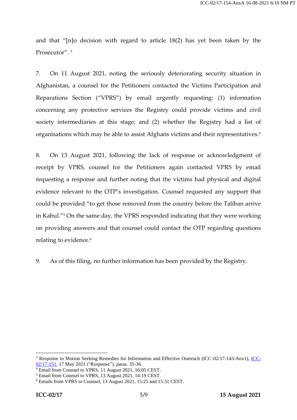and that "[n]o decision with regard to article 18(2) has yet been taken by the Prosecutor". <sup>3</sup>

7. On 11 August 2021, noting the seriously deteriorating security situation in Afghanistan, a counsel for the Petitioners contacted the Victims Participation and Reparations Section ("VPRS") by email urgently requesting: (1) information concerning any protective services the Registry could provide victims and civil society intermediaries at this stage; and (2) whether the Registry had a list of organisations which may be able to assist Afghans victims and their representatives.<sup>4</sup>

8. On 13 August 2021, following the lack of response or acknowledgment of receipt by VPRS, counsel for the Petitioners again contacted VPRS by email requesting a response and further noting that the victims had physical and digital evidence relevant to the OTP's investigation. Counsel requested any support that could be provided "to get those removed from the country before the Taliban arrive in Kabul."<sup>5</sup> On the same day, the VPRS responded indicating that they were working on providing answers and that counsel could contact the OTP regarding questions relating to evidence. 6

9. As of this filing, no further information has been provided by the Registry.

<sup>3</sup> Response to Motion Seeking Remedies for Information and Effective Outreach (ICC-02/17-143-Anx1), [ICC-](https://www.icc-cpi.int/CourtRecords/CR2021_04543.PDF)[02/17-151,](https://www.icc-cpi.int/CourtRecords/CR2021_04543.PDF) 17 May 2021 ("Response"), paras. 35-36.

<sup>4</sup> Email from Counsel to VPRS, 11 August 2021, 16:05 CEST.

<sup>5</sup> Email from Counsel to VPRS, 13 August 2021, 14:19 CEST.

<sup>6</sup> Emails from VPRS to Counsel, 13 August 2021, 15:25 and 15:31 CEST.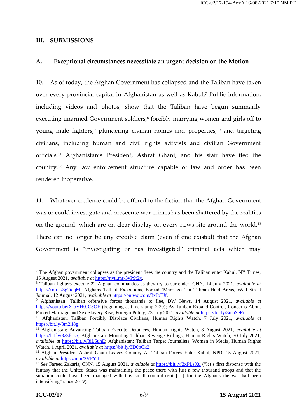#### **III. SUBMISSIONS**

#### **A. Exceptional circumstances necessitate an urgent decision on the Motion**

10. As of today, the Afghan Government has collapsed and the Taliban have taken over every provincial capital in Afghanistan as well as Kabul. <sup>7</sup> Public information, including videos and photos, show that the Taliban have begun summarily executing unarmed Government soldiers,<sup>8</sup> forcibly marrying women and girls off to young male fighters, <sup>9</sup> plundering civilian homes and properties,<sup>10</sup> and targeting civilians, including human and civil rights activists and civilian Government officials.<sup>11</sup> Afghanistan's President, Ashraf Ghani, and his staff have fled the country.<sup>12</sup> Any law enforcement structure capable of law and order has been rendered inoperative.

11. Whatever credence could be offered to the fiction that the Afghan Government was or could investigate and prosecute war crimes has been shattered by the realities on the ground, which are on clear display on every news site around the world.<sup>13</sup> There can no longer be any credible claim (even if one existed) that the Afghan Government is "investigating or has investigated" criminal acts which may

 $<sup>7</sup>$  The Afghan government collapses as the president flees the country and the Taliban enter Kabul, NY Times,</sup> 15 August 2021, *available at* [https://nyti.ms/3yP9t2x.](https://nyti.ms/3yP9t2x)

<sup>8</sup> Taliban fighters execute 22 Afghan commandos as they try to surrender, CNN, 14 July 2021, *available at* [https://cnn.it/3g2icqM;](https://cnn.it/3g2icqM) Afghans Tell of Executions, Forced 'Marriages' in Taliban-Held Areas, Wall Street Journal, 12 August 2021, *available at* [https://on.wsj.com/3xJoEJf.](https://on.wsj.com/3xJoEJf)

<sup>9</sup> Afghanistan: Taliban offensive forces thousands to flee, DW News, 14 August 2021, *available at*  <https://youtu.be/XfbVH0JC5OE> (beginning at time stamp 2:20); As Taliban Expand Control, Concerns About Forced Marriage and Sex Slavery Rise, Foreign Policy, 23 July 2021, *available at* [https://bit.ly/3maSeFr.](https://bit.ly/3maSeFr)

<sup>10</sup> Afghanistan: Taliban Forcibly Displace Civilians, Human Rights Watch, 7 July 2021, *available at* [https://bit.ly/3m2lI8g.](https://bit.ly/3m2lI8g) 

<sup>11</sup> Afghanistan: Advancing Taliban Execute Detainees, Human Rights Watch, 3 August 2021, *available at*  [https://bit.ly/3z3fCs5;](https://bit.ly/3z3fCs5) Afghanistan: Mounting Taliban Revenge Killings, Human Rights Watch, 30 July 2021, *available at* [https://bit.ly/3iL5uhE;](https://bit.ly/3iL5uhE) Afghanistan: Taliban Target Journalists, Women in Media, Human Rights Watch, 1 April 2021, *available at* [https://bit.ly/3D0oCk2.](https://bit.ly/3D0oCk2)

<sup>&</sup>lt;sup>12</sup> Afghan President Ashraf Ghani Leaves Country As Taliban Forces Enter Kabul, NPR, 15 August 2021, *available at* [https://n.pr/2VPYiII.](https://n.pr/2VPYiII)

<sup>13</sup> *See* Fareed Zakaria, CNN, 15 August 2021, *available at* <https://bit.ly/3xPLsXu> ("let's first dispense with the fantasy that the United States was maintaining the peace there with just a few thousand troops and that the situation could have been managed with this small commitment [...] for the Afghans the war had been intensifying" since 2019).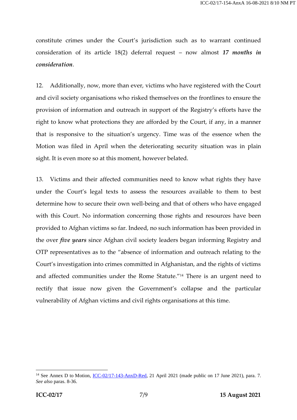constitute crimes under the Court's jurisdiction such as to warrant continued consideration of its article 18(2) deferral request – now almost *17 months in consideration*.

12. Additionally, now, more than ever, victims who have registered with the Court and civil society organisations who risked themselves on the frontlines to ensure the provision of information and outreach in support of the Registry's efforts have the right to know what protections they are afforded by the Court, if any, in a manner that is responsive to the situation's urgency. Time was of the essence when the Motion was filed in April when the deteriorating security situation was in plain sight. It is even more so at this moment, however belated.

13. Victims and their affected communities need to know what rights they have under the Court's legal texts to assess the resources available to them to best determine how to secure their own well-being and that of others who have engaged with this Court. No information concerning those rights and resources have been provided to Afghan victims so far. Indeed, no such information has been provided in the over *five years* since Afghan civil society leaders began informing Registry and OTP representatives as to the "absence of information and outreach relating to the Court's investigation into crimes committed in Afghanistan, and the rights of victims and affected communities under the Rome Statute."<sup>14</sup> There is an urgent need to rectify that issue now given the Government's collapse and the particular vulnerability of Afghan victims and civil rights organisations at this time.

<sup>&</sup>lt;sup>14</sup> See Annex D to Motion, <u>ICC-02/17-143-AnxD-Red</u>, 21 April 2021 (made public on 17 June 2021), para. 7. *See also* paras. 8-36.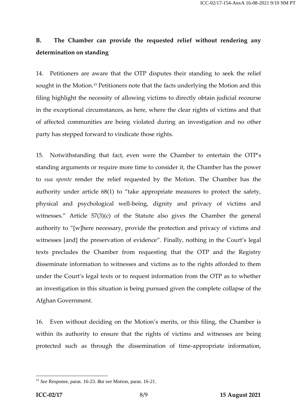# **B. The Chamber can provide the requested relief without rendering any determination on standing**

14. Petitioners are aware that the OTP disputes their standing to seek the relief sought in the Motion. <sup>15</sup> Petitioners note that the facts underlying the Motion and this filing highlight the necessity of allowing victims to directly obtain judicial recourse in the exceptional circumstances, as here, where the clear rights of victims and that of affected communities are being violated during an investigation and no other party has stepped forward to vindicate those rights.

15. Notwithstanding that fact, even were the Chamber to entertain the OTP's standing arguments or require more time to consider it, the Chamber has the power to *sua sponte* render the relief requested by the Motion. The Chamber has the authority under article 68(1) to "take appropriate measures to protect the safety, physical and psychological well-being, dignity and privacy of victims and witnesses." Article 57(3)(c) of the Statute also gives the Chamber the general authority to "[w]here necessary, provide the protection and privacy of victims and witnesses [and] the preservation of evidence". Finally, nothing in the Court's legal texts precludes the Chamber from requesting that the OTP and the Registry disseminate information to witnesses and victims as to the rights afforded to them under the Court's legal texts or to request information from the OTP as to whether an investigation in this situation is being pursued given the complete collapse of the Afghan Government.

16. Even without deciding on the Motion's merits, or this filing, the Chamber is within its authority to ensure that the rights of victims and witnesses are being protected such as through the dissemination of time-appropriate information,

<sup>15</sup> *See* Response, paras. 16-23. *But see* Motion, paras. 16-21.